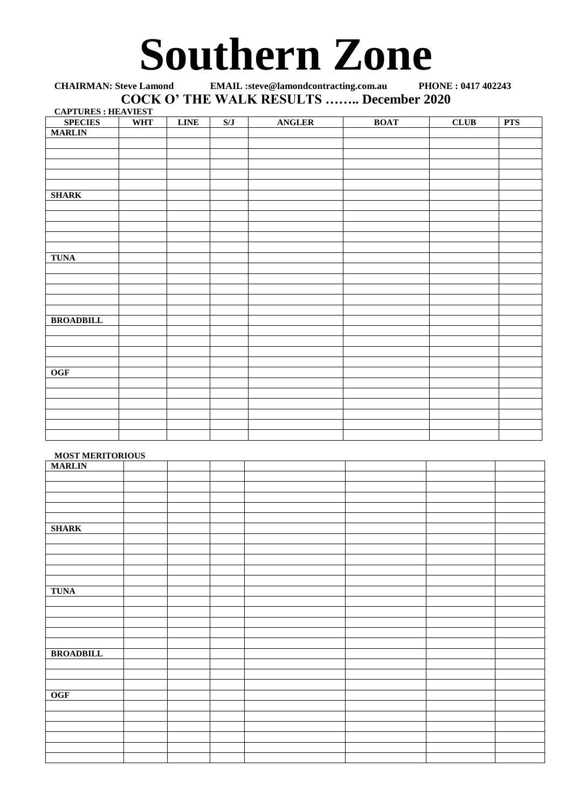## **Southern Zone**

| <b>CHAIRMAN: Steve Lamond</b>                   | <b>EMAIL</b> :steve@lamondcontracting.com.au   | PHONE: 0417 402243 |
|-------------------------------------------------|------------------------------------------------|--------------------|
|                                                 | <b>COCK O' THE WALK RESULTS  December 2020</b> |                    |
| $\alpha$ a dthide $\alpha$ . He a view $\alpha$ |                                                |                    |

| <b>CAPTURES: HEAVIEST</b><br><b>SPECIES</b> | <b>WHT</b> | <b>LINE</b> | S/J | <b>ANGLER</b> | <b>BOAT</b> | <b>CLUB</b> | <b>PTS</b> |
|---------------------------------------------|------------|-------------|-----|---------------|-------------|-------------|------------|
| <b>MARLIN</b>                               |            |             |     |               |             |             |            |
|                                             |            |             |     |               |             |             |            |
|                                             |            |             |     |               |             |             |            |
|                                             |            |             |     |               |             |             |            |
|                                             |            |             |     |               |             |             |            |
|                                             |            |             |     |               |             |             |            |
| <b>SHARK</b>                                |            |             |     |               |             |             |            |
|                                             |            |             |     |               |             |             |            |
|                                             |            |             |     |               |             |             |            |
|                                             |            |             |     |               |             |             |            |
|                                             |            |             |     |               |             |             |            |
|                                             |            |             |     |               |             |             |            |
| <b>TUNA</b>                                 |            |             |     |               |             |             |            |
|                                             |            |             |     |               |             |             |            |
|                                             |            |             |     |               |             |             |            |
|                                             |            |             |     |               |             |             |            |
|                                             |            |             |     |               |             |             |            |
| <b>BROADBILL</b>                            |            |             |     |               |             |             |            |
|                                             |            |             |     |               |             |             |            |
|                                             |            |             |     |               |             |             |            |
|                                             |            |             |     |               |             |             |            |
|                                             |            |             |     |               |             |             |            |
| <b>OGF</b>                                  |            |             |     |               |             |             |            |
|                                             |            |             |     |               |             |             |            |
|                                             |            |             |     |               |             |             |            |
|                                             |            |             |     |               |             |             |            |
|                                             |            |             |     |               |             |             |            |
|                                             |            |             |     |               |             |             |            |
|                                             |            |             |     |               |             |             |            |

## **MOST MERITORIOUS**

| <b>MARLIN</b>    |  |  |  |  |
|------------------|--|--|--|--|
|                  |  |  |  |  |
|                  |  |  |  |  |
|                  |  |  |  |  |
|                  |  |  |  |  |
|                  |  |  |  |  |
| <b>SHARK</b>     |  |  |  |  |
|                  |  |  |  |  |
|                  |  |  |  |  |
|                  |  |  |  |  |
|                  |  |  |  |  |
|                  |  |  |  |  |
| <b>TUNA</b>      |  |  |  |  |
|                  |  |  |  |  |
|                  |  |  |  |  |
|                  |  |  |  |  |
|                  |  |  |  |  |
|                  |  |  |  |  |
| <b>BROADBILL</b> |  |  |  |  |
|                  |  |  |  |  |
|                  |  |  |  |  |
|                  |  |  |  |  |
| <b>OGF</b>       |  |  |  |  |
|                  |  |  |  |  |
|                  |  |  |  |  |
|                  |  |  |  |  |
|                  |  |  |  |  |
|                  |  |  |  |  |
|                  |  |  |  |  |